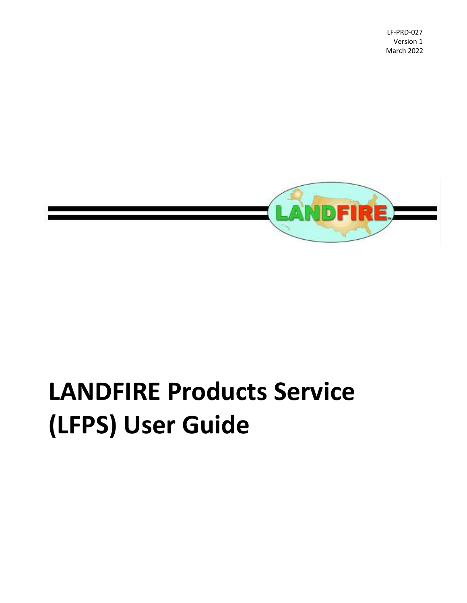LF-PRD-027 Version 1 March 2022



# **LANDFIRE Products Service (LFPS) User Guide**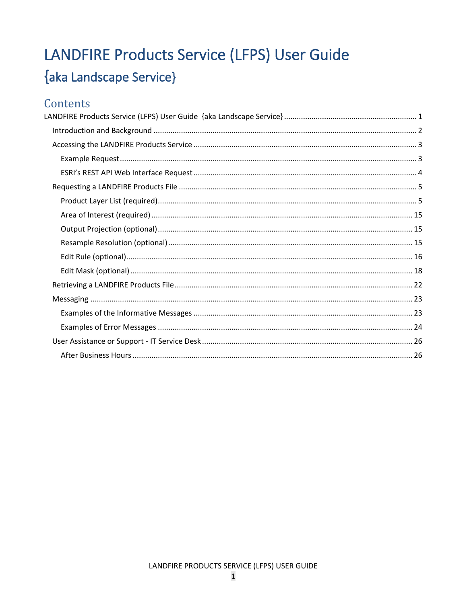## <span id="page-1-0"></span>LANDFIRE Products Service (LFPS) User Guide {aka Landscape Service}

### Contents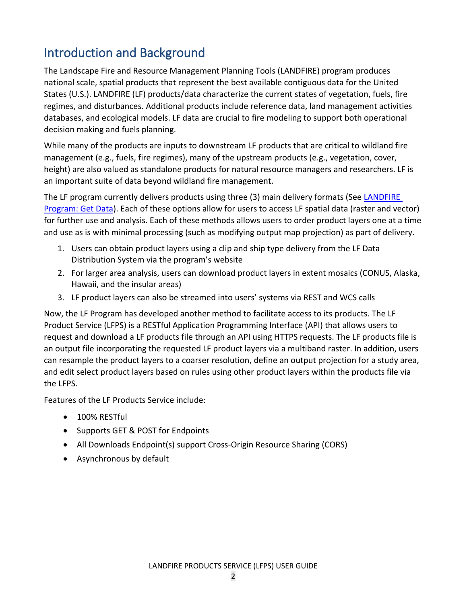## <span id="page-2-0"></span>Introduction and Background

The Landscape Fire and Resource Management Planning Tools (LANDFIRE) program produces national scale, spatial products that represent the best available contiguous data for the United States (U.S.). LANDFIRE (LF) products/data characterize the current states of vegetation, fuels, fire regimes, and disturbances. Additional products include reference data, land management activities databases, and ecological models. LF data are crucial to fire modeling to support both operational decision making and fuels planning.

While many of the products are inputs to downstream LF products that are critical to wildland fire management (e.g., fuels, fire regimes), many of the upstream products (e.g., vegetation, cover, height) are also valued as standalone products for natural resource managers and researchers. LF is an important suite of data beyond wildland fire management.

The LF program currently delivers products using three (3) main delivery formats (See [LANDFIRE](https://www.landfire.gov/getdata.php)  [Program: Get Data\)](https://www.landfire.gov/getdata.php). Each of these options allow for users to access LF spatial data (raster and vector) for further use and analysis. Each of these methods allows users to order product layers one at a time and use as is with minimal processing (such as modifying output map projection) as part of delivery.

- 1. Users can obtain product layers using a clip and ship type delivery from the LF Data Distribution System via the program's website
- 2. For larger area analysis, users can download product layers in extent mosaics (CONUS, Alaska, Hawaii, and the insular areas)
- 3. LF product layers can also be streamed into users' systems via REST and WCS calls

Now, the LF Program has developed another method to facilitate access to its products. The LF Product Service (LFPS) is a RESTful Application Programming Interface (API) that allows users to request and download a LF products file through an API using HTTPS requests. The LF products file is an output file incorporating the requested LF product layers via a multiband raster. In addition, users can resample the product layers to a coarser resolution, define an output projection for a study area, and edit select product layers based on rules using other product layers within the products file via the LFPS.

Features of the LF Products Service include:

- 100% RESTful
- Supports GET & POST for Endpoints
- All Downloads Endpoint(s) support Cross-Origin Resource Sharing (CORS)
- Asynchronous by default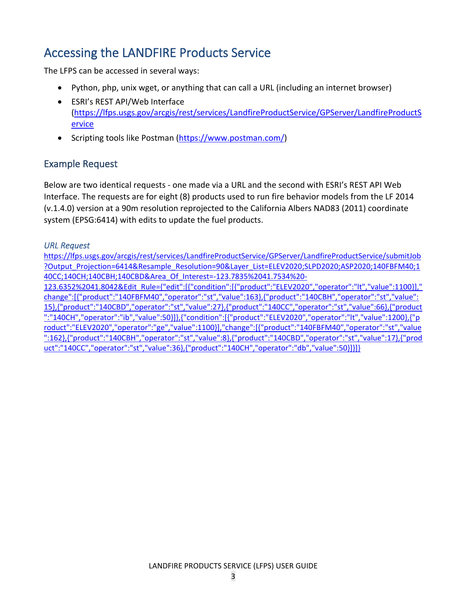## <span id="page-3-0"></span>Accessing the LANDFIRE Products Service

The LFPS can be accessed in several ways:

- Python, php, unix wget, or anything that can call a URL (including an internet browser)
- ESRI's REST API/Web Interface [\(https://lfps.usgs.gov/arcgis/rest/services/LandfireProductService/GPServer/LandfireProductS](https://lfps.usgs.gov/arcgis/rest/services/LandfireProductService/GPServer/LandfireProductService) [ervice](https://lfps.usgs.gov/arcgis/rest/services/LandfireProductService/GPServer/LandfireProductService)
- Scripting tools like Postman [\(https://www.postman.com/\)](https://www.postman.com/)

#### <span id="page-3-1"></span>Example Request

Below are two identical requests - one made via a URL and the second with ESRI's REST API Web Interface. The requests are for eight (8) products used to run fire behavior models from the LF 2014 (v.1.4.0) version at a 90m resolution reprojected to the California Albers NAD83 (2011) coordinate system (EPSG:6414) with edits to update the fuel products.

#### *URL Request*

[https://lfps.usgs.gov/arcgis/rest/services/LandfireProductService/GPServer/LandfireProductService/submitJob](https://lfps.usgs.gov/arcgis/rest/services/LandfireProductService/GPServer/LandfireProductService/submitJob?Output_Projection=6414&Resample_Resolution=90&Layer_List=ELEV2020;SLPD2020;ASP2020;140FBFM40;140CC;140CH;140CBH;140CBD&Area_Of_Interest=-123.7835%2041.7534%20-123.6352%2041.8042&Edit_Rule=%7b%22edit%22:%5b%7b%22condition%22:%5b%7b%22product%22:%22ELEV2020%22,%22operator%22:%22lt%22,%22value%22:1100%7d%5d,%22change%22:%5b%7b%22product%22:%22140FBFM40%22,%22operator%22:%22st%22,%22value%22:163%7d,%7b%22product%22:%22140CBH%22,%22operator%22:%22st%22,%22value%22:15%7d,%7b%22product%22:%22140CBD%22,%22operator%22:%22st%22,%22value%22:27%7d,%7b%22product%22:%22140CC%22,%22operator%22:%22st%22,%22value%22:66%7d,%7b%22product%22:%22140CH%22,%22operator%22:%22ib%22,%22value%22:50%7d%5d%7d,%7b%22condition%22:%5b%7b%22product%22:%22ELEV2020%22,%22operator%22:%22lt%22,%22value%22:1200%7d,%7b%22product%22:%22ELEV2020%22,%22operator%22:%22ge%22,%22value%22:1100%7d%5d,%22change%22:%5b%7b%22product%22:%22140FBFM40%22,%22operator%22:%22st%22,%22value%22:162%7d,%7b%22product%22:%22140CBH%22,%22operator%22:%22st%22,%22value%22:8%7d,%7b%22product%22:%22140CBD%22,%22operator%22:%22st%22,%22value%22:17%7d,%7b%22product%22:%22140CC%22,%22operator%22:%22st%22,%22value%22:36%7d,%7b%22product%22:%22140CH%22,%22operator%22:%22db%22,%22value%22:50%7d%5d%7d%5d%7d) [?Output\\_Projection=6414&Resample\\_Resolution=90&Layer\\_List=ELEV2020;SLPD2020;ASP2020;140FBFM40;1](https://lfps.usgs.gov/arcgis/rest/services/LandfireProductService/GPServer/LandfireProductService/submitJob?Output_Projection=6414&Resample_Resolution=90&Layer_List=ELEV2020;SLPD2020;ASP2020;140FBFM40;140CC;140CH;140CBH;140CBD&Area_Of_Interest=-123.7835%2041.7534%20-123.6352%2041.8042&Edit_Rule=%7b%22edit%22:%5b%7b%22condition%22:%5b%7b%22product%22:%22ELEV2020%22,%22operator%22:%22lt%22,%22value%22:1100%7d%5d,%22change%22:%5b%7b%22product%22:%22140FBFM40%22,%22operator%22:%22st%22,%22value%22:163%7d,%7b%22product%22:%22140CBH%22,%22operator%22:%22st%22,%22value%22:15%7d,%7b%22product%22:%22140CBD%22,%22operator%22:%22st%22,%22value%22:27%7d,%7b%22product%22:%22140CC%22,%22operator%22:%22st%22,%22value%22:66%7d,%7b%22product%22:%22140CH%22,%22operator%22:%22ib%22,%22value%22:50%7d%5d%7d,%7b%22condition%22:%5b%7b%22product%22:%22ELEV2020%22,%22operator%22:%22lt%22,%22value%22:1200%7d,%7b%22product%22:%22ELEV2020%22,%22operator%22:%22ge%22,%22value%22:1100%7d%5d,%22change%22:%5b%7b%22product%22:%22140FBFM40%22,%22operator%22:%22st%22,%22value%22:162%7d,%7b%22product%22:%22140CBH%22,%22operator%22:%22st%22,%22value%22:8%7d,%7b%22product%22:%22140CBD%22,%22operator%22:%22st%22,%22value%22:17%7d,%7b%22product%22:%22140CC%22,%22operator%22:%22st%22,%22value%22:36%7d,%7b%22product%22:%22140CH%22,%22operator%22:%22db%22,%22value%22:50%7d%5d%7d%5d%7d) [40CC;140CH;140CBH;140CBD&Area\\_Of\\_Interest=-123.7835%2041.7534%20-](https://lfps.usgs.gov/arcgis/rest/services/LandfireProductService/GPServer/LandfireProductService/submitJob?Output_Projection=6414&Resample_Resolution=90&Layer_List=ELEV2020;SLPD2020;ASP2020;140FBFM40;140CC;140CH;140CBH;140CBD&Area_Of_Interest=-123.7835%2041.7534%20-123.6352%2041.8042&Edit_Rule=%7b%22edit%22:%5b%7b%22condition%22:%5b%7b%22product%22:%22ELEV2020%22,%22operator%22:%22lt%22,%22value%22:1100%7d%5d,%22change%22:%5b%7b%22product%22:%22140FBFM40%22,%22operator%22:%22st%22,%22value%22:163%7d,%7b%22product%22:%22140CBH%22,%22operator%22:%22st%22,%22value%22:15%7d,%7b%22product%22:%22140CBD%22,%22operator%22:%22st%22,%22value%22:27%7d,%7b%22product%22:%22140CC%22,%22operator%22:%22st%22,%22value%22:66%7d,%7b%22product%22:%22140CH%22,%22operator%22:%22ib%22,%22value%22:50%7d%5d%7d,%7b%22condition%22:%5b%7b%22product%22:%22ELEV2020%22,%22operator%22:%22lt%22,%22value%22:1200%7d,%7b%22product%22:%22ELEV2020%22,%22operator%22:%22ge%22,%22value%22:1100%7d%5d,%22change%22:%5b%7b%22product%22:%22140FBFM40%22,%22operator%22:%22st%22,%22value%22:162%7d,%7b%22product%22:%22140CBH%22,%22operator%22:%22st%22,%22value%22:8%7d,%7b%22product%22:%22140CBD%22,%22operator%22:%22st%22,%22value%22:17%7d,%7b%22product%22:%22140CC%22,%22operator%22:%22st%22,%22value%22:36%7d,%7b%22product%22:%22140CH%22,%22operator%22:%22db%22,%22value%22:50%7d%5d%7d%5d%7d) [123.6352%2041.8042&Edit\\_Rule={"edit":\[{"condition":\[{"product":"ELEV2020","operator":"lt","value":1100}\],"](https://lfps.usgs.gov/arcgis/rest/services/LandfireProductService/GPServer/LandfireProductService/submitJob?Output_Projection=6414&Resample_Resolution=90&Layer_List=ELEV2020;SLPD2020;ASP2020;140FBFM40;140CC;140CH;140CBH;140CBD&Area_Of_Interest=-123.7835%2041.7534%20-123.6352%2041.8042&Edit_Rule=%7b%22edit%22:%5b%7b%22condition%22:%5b%7b%22product%22:%22ELEV2020%22,%22operator%22:%22lt%22,%22value%22:1100%7d%5d,%22change%22:%5b%7b%22product%22:%22140FBFM40%22,%22operator%22:%22st%22,%22value%22:163%7d,%7b%22product%22:%22140CBH%22,%22operator%22:%22st%22,%22value%22:15%7d,%7b%22product%22:%22140CBD%22,%22operator%22:%22st%22,%22value%22:27%7d,%7b%22product%22:%22140CC%22,%22operator%22:%22st%22,%22value%22:66%7d,%7b%22product%22:%22140CH%22,%22operator%22:%22ib%22,%22value%22:50%7d%5d%7d,%7b%22condition%22:%5b%7b%22product%22:%22ELEV2020%22,%22operator%22:%22lt%22,%22value%22:1200%7d,%7b%22product%22:%22ELEV2020%22,%22operator%22:%22ge%22,%22value%22:1100%7d%5d,%22change%22:%5b%7b%22product%22:%22140FBFM40%22,%22operator%22:%22st%22,%22value%22:162%7d,%7b%22product%22:%22140CBH%22,%22operator%22:%22st%22,%22value%22:8%7d,%7b%22product%22:%22140CBD%22,%22operator%22:%22st%22,%22value%22:17%7d,%7b%22product%22:%22140CC%22,%22operator%22:%22st%22,%22value%22:36%7d,%7b%22product%22:%22140CH%22,%22operator%22:%22db%22,%22value%22:50%7d%5d%7d%5d%7d) [change":\[{"product":"140FBFM40","operator":"st","value":163},{"product":"140CBH","operator":"st","value":](https://lfps.usgs.gov/arcgis/rest/services/LandfireProductService/GPServer/LandfireProductService/submitJob?Output_Projection=6414&Resample_Resolution=90&Layer_List=ELEV2020;SLPD2020;ASP2020;140FBFM40;140CC;140CH;140CBH;140CBD&Area_Of_Interest=-123.7835%2041.7534%20-123.6352%2041.8042&Edit_Rule=%7b%22edit%22:%5b%7b%22condition%22:%5b%7b%22product%22:%22ELEV2020%22,%22operator%22:%22lt%22,%22value%22:1100%7d%5d,%22change%22:%5b%7b%22product%22:%22140FBFM40%22,%22operator%22:%22st%22,%22value%22:163%7d,%7b%22product%22:%22140CBH%22,%22operator%22:%22st%22,%22value%22:15%7d,%7b%22product%22:%22140CBD%22,%22operator%22:%22st%22,%22value%22:27%7d,%7b%22product%22:%22140CC%22,%22operator%22:%22st%22,%22value%22:66%7d,%7b%22product%22:%22140CH%22,%22operator%22:%22ib%22,%22value%22:50%7d%5d%7d,%7b%22condition%22:%5b%7b%22product%22:%22ELEV2020%22,%22operator%22:%22lt%22,%22value%22:1200%7d,%7b%22product%22:%22ELEV2020%22,%22operator%22:%22ge%22,%22value%22:1100%7d%5d,%22change%22:%5b%7b%22product%22:%22140FBFM40%22,%22operator%22:%22st%22,%22value%22:162%7d,%7b%22product%22:%22140CBH%22,%22operator%22:%22st%22,%22value%22:8%7d,%7b%22product%22:%22140CBD%22,%22operator%22:%22st%22,%22value%22:17%7d,%7b%22product%22:%22140CC%22,%22operator%22:%22st%22,%22value%22:36%7d,%7b%22product%22:%22140CH%22,%22operator%22:%22db%22,%22value%22:50%7d%5d%7d%5d%7d) [15},{"product":"140CBD","operator":"st","value":27},{"product":"140CC","operator":"st","value":66},{"product](https://lfps.usgs.gov/arcgis/rest/services/LandfireProductService/GPServer/LandfireProductService/submitJob?Output_Projection=6414&Resample_Resolution=90&Layer_List=ELEV2020;SLPD2020;ASP2020;140FBFM40;140CC;140CH;140CBH;140CBD&Area_Of_Interest=-123.7835%2041.7534%20-123.6352%2041.8042&Edit_Rule=%7b%22edit%22:%5b%7b%22condition%22:%5b%7b%22product%22:%22ELEV2020%22,%22operator%22:%22lt%22,%22value%22:1100%7d%5d,%22change%22:%5b%7b%22product%22:%22140FBFM40%22,%22operator%22:%22st%22,%22value%22:163%7d,%7b%22product%22:%22140CBH%22,%22operator%22:%22st%22,%22value%22:15%7d,%7b%22product%22:%22140CBD%22,%22operator%22:%22st%22,%22value%22:27%7d,%7b%22product%22:%22140CC%22,%22operator%22:%22st%22,%22value%22:66%7d,%7b%22product%22:%22140CH%22,%22operator%22:%22ib%22,%22value%22:50%7d%5d%7d,%7b%22condition%22:%5b%7b%22product%22:%22ELEV2020%22,%22operator%22:%22lt%22,%22value%22:1200%7d,%7b%22product%22:%22ELEV2020%22,%22operator%22:%22ge%22,%22value%22:1100%7d%5d,%22change%22:%5b%7b%22product%22:%22140FBFM40%22,%22operator%22:%22st%22,%22value%22:162%7d,%7b%22product%22:%22140CBH%22,%22operator%22:%22st%22,%22value%22:8%7d,%7b%22product%22:%22140CBD%22,%22operator%22:%22st%22,%22value%22:17%7d,%7b%22product%22:%22140CC%22,%22operator%22:%22st%22,%22value%22:36%7d,%7b%22product%22:%22140CH%22,%22operator%22:%22db%22,%22value%22:50%7d%5d%7d%5d%7d) [":"140CH","operator":"ib","value":50}\]},{"condition":\[{"product":"ELEV2020","operator":"lt","value":1200},{"p](https://lfps.usgs.gov/arcgis/rest/services/LandfireProductService/GPServer/LandfireProductService/submitJob?Output_Projection=6414&Resample_Resolution=90&Layer_List=ELEV2020;SLPD2020;ASP2020;140FBFM40;140CC;140CH;140CBH;140CBD&Area_Of_Interest=-123.7835%2041.7534%20-123.6352%2041.8042&Edit_Rule=%7b%22edit%22:%5b%7b%22condition%22:%5b%7b%22product%22:%22ELEV2020%22,%22operator%22:%22lt%22,%22value%22:1100%7d%5d,%22change%22:%5b%7b%22product%22:%22140FBFM40%22,%22operator%22:%22st%22,%22value%22:163%7d,%7b%22product%22:%22140CBH%22,%22operator%22:%22st%22,%22value%22:15%7d,%7b%22product%22:%22140CBD%22,%22operator%22:%22st%22,%22value%22:27%7d,%7b%22product%22:%22140CC%22,%22operator%22:%22st%22,%22value%22:66%7d,%7b%22product%22:%22140CH%22,%22operator%22:%22ib%22,%22value%22:50%7d%5d%7d,%7b%22condition%22:%5b%7b%22product%22:%22ELEV2020%22,%22operator%22:%22lt%22,%22value%22:1200%7d,%7b%22product%22:%22ELEV2020%22,%22operator%22:%22ge%22,%22value%22:1100%7d%5d,%22change%22:%5b%7b%22product%22:%22140FBFM40%22,%22operator%22:%22st%22,%22value%22:162%7d,%7b%22product%22:%22140CBH%22,%22operator%22:%22st%22,%22value%22:8%7d,%7b%22product%22:%22140CBD%22,%22operator%22:%22st%22,%22value%22:17%7d,%7b%22product%22:%22140CC%22,%22operator%22:%22st%22,%22value%22:36%7d,%7b%22product%22:%22140CH%22,%22operator%22:%22db%22,%22value%22:50%7d%5d%7d%5d%7d) [roduct":"ELEV2020","operator":"ge","value":1100}\],"change":\[{"product":"140FBFM40","operator":"st","value](https://lfps.usgs.gov/arcgis/rest/services/LandfireProductService/GPServer/LandfireProductService/submitJob?Output_Projection=6414&Resample_Resolution=90&Layer_List=ELEV2020;SLPD2020;ASP2020;140FBFM40;140CC;140CH;140CBH;140CBD&Area_Of_Interest=-123.7835%2041.7534%20-123.6352%2041.8042&Edit_Rule=%7b%22edit%22:%5b%7b%22condition%22:%5b%7b%22product%22:%22ELEV2020%22,%22operator%22:%22lt%22,%22value%22:1100%7d%5d,%22change%22:%5b%7b%22product%22:%22140FBFM40%22,%22operator%22:%22st%22,%22value%22:163%7d,%7b%22product%22:%22140CBH%22,%22operator%22:%22st%22,%22value%22:15%7d,%7b%22product%22:%22140CBD%22,%22operator%22:%22st%22,%22value%22:27%7d,%7b%22product%22:%22140CC%22,%22operator%22:%22st%22,%22value%22:66%7d,%7b%22product%22:%22140CH%22,%22operator%22:%22ib%22,%22value%22:50%7d%5d%7d,%7b%22condition%22:%5b%7b%22product%22:%22ELEV2020%22,%22operator%22:%22lt%22,%22value%22:1200%7d,%7b%22product%22:%22ELEV2020%22,%22operator%22:%22ge%22,%22value%22:1100%7d%5d,%22change%22:%5b%7b%22product%22:%22140FBFM40%22,%22operator%22:%22st%22,%22value%22:162%7d,%7b%22product%22:%22140CBH%22,%22operator%22:%22st%22,%22value%22:8%7d,%7b%22product%22:%22140CBD%22,%22operator%22:%22st%22,%22value%22:17%7d,%7b%22product%22:%22140CC%22,%22operator%22:%22st%22,%22value%22:36%7d,%7b%22product%22:%22140CH%22,%22operator%22:%22db%22,%22value%22:50%7d%5d%7d%5d%7d) [":162},{"product":"140CBH","operator":"st","value":8},{"product":"140CBD","operator":"st","value":17},{"prod](https://lfps.usgs.gov/arcgis/rest/services/LandfireProductService/GPServer/LandfireProductService/submitJob?Output_Projection=6414&Resample_Resolution=90&Layer_List=ELEV2020;SLPD2020;ASP2020;140FBFM40;140CC;140CH;140CBH;140CBD&Area_Of_Interest=-123.7835%2041.7534%20-123.6352%2041.8042&Edit_Rule=%7b%22edit%22:%5b%7b%22condition%22:%5b%7b%22product%22:%22ELEV2020%22,%22operator%22:%22lt%22,%22value%22:1100%7d%5d,%22change%22:%5b%7b%22product%22:%22140FBFM40%22,%22operator%22:%22st%22,%22value%22:163%7d,%7b%22product%22:%22140CBH%22,%22operator%22:%22st%22,%22value%22:15%7d,%7b%22product%22:%22140CBD%22,%22operator%22:%22st%22,%22value%22:27%7d,%7b%22product%22:%22140CC%22,%22operator%22:%22st%22,%22value%22:66%7d,%7b%22product%22:%22140CH%22,%22operator%22:%22ib%22,%22value%22:50%7d%5d%7d,%7b%22condition%22:%5b%7b%22product%22:%22ELEV2020%22,%22operator%22:%22lt%22,%22value%22:1200%7d,%7b%22product%22:%22ELEV2020%22,%22operator%22:%22ge%22,%22value%22:1100%7d%5d,%22change%22:%5b%7b%22product%22:%22140FBFM40%22,%22operator%22:%22st%22,%22value%22:162%7d,%7b%22product%22:%22140CBH%22,%22operator%22:%22st%22,%22value%22:8%7d,%7b%22product%22:%22140CBD%22,%22operator%22:%22st%22,%22value%22:17%7d,%7b%22product%22:%22140CC%22,%22operator%22:%22st%22,%22value%22:36%7d,%7b%22product%22:%22140CH%22,%22operator%22:%22db%22,%22value%22:50%7d%5d%7d%5d%7d)

[uct":"140CC","operator":"st","value":36},{"product":"140CH","operator":"db","value":50}\]}\]}](https://lfps.usgs.gov/arcgis/rest/services/LandfireProductService/GPServer/LandfireProductService/submitJob?Output_Projection=6414&Resample_Resolution=90&Layer_List=ELEV2020;SLPD2020;ASP2020;140FBFM40;140CC;140CH;140CBH;140CBD&Area_Of_Interest=-123.7835%2041.7534%20-123.6352%2041.8042&Edit_Rule=%7b%22edit%22:%5b%7b%22condition%22:%5b%7b%22product%22:%22ELEV2020%22,%22operator%22:%22lt%22,%22value%22:1100%7d%5d,%22change%22:%5b%7b%22product%22:%22140FBFM40%22,%22operator%22:%22st%22,%22value%22:163%7d,%7b%22product%22:%22140CBH%22,%22operator%22:%22st%22,%22value%22:15%7d,%7b%22product%22:%22140CBD%22,%22operator%22:%22st%22,%22value%22:27%7d,%7b%22product%22:%22140CC%22,%22operator%22:%22st%22,%22value%22:66%7d,%7b%22product%22:%22140CH%22,%22operator%22:%22ib%22,%22value%22:50%7d%5d%7d,%7b%22condition%22:%5b%7b%22product%22:%22ELEV2020%22,%22operator%22:%22lt%22,%22value%22:1200%7d,%7b%22product%22:%22ELEV2020%22,%22operator%22:%22ge%22,%22value%22:1100%7d%5d,%22change%22:%5b%7b%22product%22:%22140FBFM40%22,%22operator%22:%22st%22,%22value%22:162%7d,%7b%22product%22:%22140CBH%22,%22operator%22:%22st%22,%22value%22:8%7d,%7b%22product%22:%22140CBD%22,%22operator%22:%22st%22,%22value%22:17%7d,%7b%22product%22:%22140CC%22,%22operator%22:%22st%22,%22value%22:36%7d,%7b%22product%22:%22140CH%22,%22operator%22:%22db%22,%22value%22:50%7d%5d%7d%5d%7d)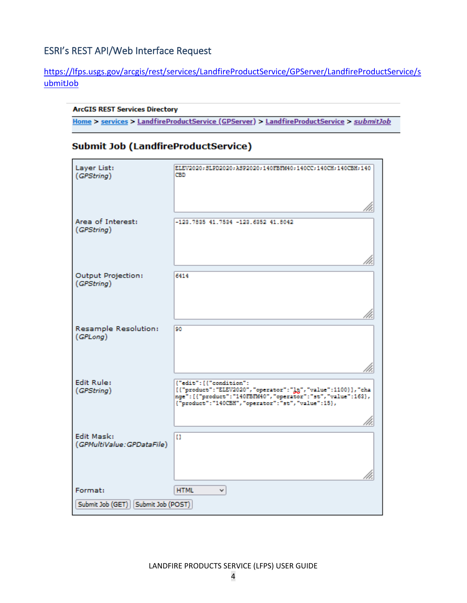#### <span id="page-4-0"></span>ESRI's REST API/Web Interface Request

#### [https://lfps.usgs.gov/arcgis/rest/services/LandfireProductService/GPServer/LandfireProductService/s](https://lfps.usgs.gov/arcgis/rest/services/LandfireProductService/GPServer/LandfireProductService/submitJob) [ubmitJob](https://lfps.usgs.gov/arcgis/rest/services/LandscapeService/GPServer/LandscapeService/submitJob)

#### **ArcGIS REST Services Directory**

Home > services > LandfireProductService (GPServer) > LandfireProductService > submitJob

#### **Submit Job (LandfireProductService)**

| Layer List:<br>(GPString)                     | ELEV2020; SLPD2020; ASP2020; 140FBFM40; 140CC; 140CH; 140CBH; 140<br>CBD                                                                                                                                           |
|-----------------------------------------------|--------------------------------------------------------------------------------------------------------------------------------------------------------------------------------------------------------------------|
| Area of Interest:<br>(GPString)               | $-123.7835$ $41.7534$ $-123.6352$ $41.8042$                                                                                                                                                                        |
| Output Projection:<br>(GPString)              | 6414                                                                                                                                                                                                               |
| Resample Resolution:<br>(GPLong)              | 90                                                                                                                                                                                                                 |
| <b>Edit Rule:</b><br>(GPString)               | {"edit": [{"condition":<br>[{"product":"ELEV2020","operator":"]t;","value":1100}],"cha<br>nge": [{"product": "140FBFM40", "operator": "st", "value": 163},<br>{"product": "140CBH", "operator": "st", "value":15}, |
| Edit Mask:<br>(GPMultiValue: GPDataFile)      | H.                                                                                                                                                                                                                 |
| Format:<br>Submit Job (GET) Submit Job (POST) | <b>HTML</b><br>v                                                                                                                                                                                                   |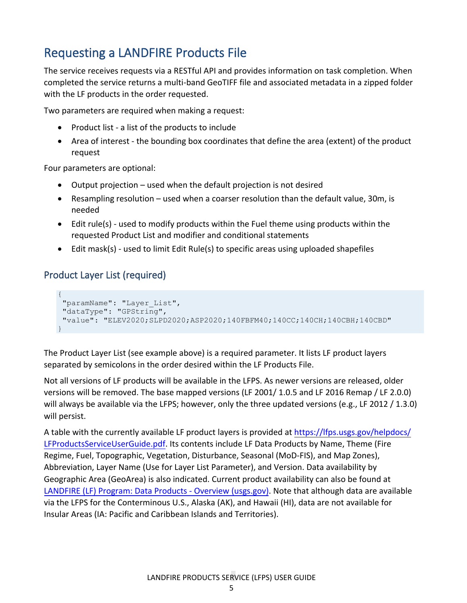## <span id="page-5-0"></span>Requesting a LANDFIRE Products File

The service receives requests via a RESTful API and provides information on task completion. When completed the service returns a multi-band GeoTIFF file and associated metadata in a zipped folder with the LF products in the order requested.

Two parameters are required when making a request:

- Product list a list of the products to include
- Area of interest the bounding box coordinates that define the area (extent) of the product request

Four parameters are optional:

- Output projection used when the default projection is not desired
- Resampling resolution used when a coarser resolution than the default value, 30m, is needed
- Edit rule(s) used to modify products within the Fuel theme using products within the requested Product List and modifier and conditional statements
- Edit mask(s) used to limit Edit Rule(s) to specific areas using uploaded shapefiles

#### <span id="page-5-1"></span>Product Layer List (required)

```
{
"paramName": "Layer List",
"dataType": "GPString",
"value": "ELEV2020;SLPD2020;ASP2020;140FBFM40;140CC;140CH;140CBH;140CBD"
}
```
The Product Layer List (see example above) is a required parameter. It lists LF product layers separated by semicolons in the order desired within the LF Products File.

Not all versions of LF products will be available in the LFPS. As newer versions are released, older versions will be removed. The base mapped versions (LF 2001/ 1.0.5 and LF 2016 Remap / LF 2.0.0) will always be available via the LFPS; however, only the three updated versions (e.g., LF 2012 / 1.3.0) will persist.

A table with the currently available LF product layers is provided at [https://lfps.usgs.gov/helpdocs/](https://lfps.usgs.gov/helpdocs/LFProductsServiceUserGuide.pdf) [LFProductsServiceUserGuide.pdf](https://lfps.usgs.gov/helpdocs/LFProductsServiceUserGuide.pdf). Its contents include LF Data Products by Name, Theme (Fire Regime, Fuel, Topographic, Vegetation, Disturbance, Seasonal (MoD-FIS), and Map Zones), Abbreviation, Layer Name (Use for Layer List Parameter), and Version. Data availability by Geographic Area (GeoArea) is also indicated. Current product availability can also be found at [LANDFIRE \(LF\) Program: Data Products - Overview \(usgs.gov\).](https://landfire.gov/data_overviews.php) Note that although data are available via the LFPS for the Conterminous U.S., Alaska (AK), and Hawaii (HI), data are not available for Insular Areas (IA: Pacific and Caribbean Islands and Territories).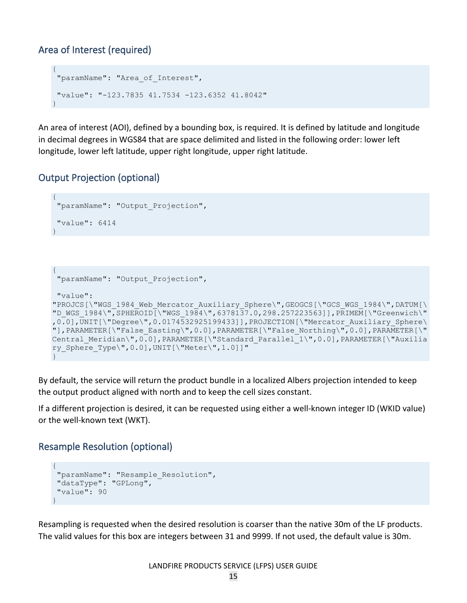#### <span id="page-6-0"></span>Area of Interest (required)

```
{
 "paramName": "Area_of_Interest",
"value": "-123.7835 41.7534 -123.6352 41.8042"
}
```
An area of interest (AOI), defined by a bounding box, is required. It is defined by latitude and longitude in decimal degrees in WGS84 that are space delimited and listed in the following order: lower left longitude, lower left latitude, upper right longitude, upper right latitude.

#### <span id="page-6-1"></span>Output Projection (optional)

{

}

```
"paramName": "Output_Projection",
 "value": 6414
}
{
 "paramName": "Output_Projection",
 "value": 
"PROJCS[\"WGS_1984_Web_Mercator_Auxiliary_Sphere\",GEOGCS[\"GCS_WGS_1984\",DATUM[\
"D_WGS_1984\",SPHEROID[\"WGS_1984\",6378137.0,298.257223563]],PRIMEM[\"Greenwich\"
,0.0],UNIT[\"Degree\",0.0174532925199433]],PROJECTION[\"Mercator_Auxiliary_Sphere\
"],PARAMETER[\"False_Easting\",0.0],PARAMETER[\"False_Northing\",0.0],PARAMETER[\"
Central Meridian\",0.0],PARAMETER[\"Standard Parallel 1\",0.0],PARAMETER[\"Auxilia
ry Sphere Type\", 0.0], UNIT[\"Meter\", 1.0]]"
```
By default, the service will return the product bundle in a localized Albers projection intended to keep the output product aligned with north and to keep the cell sizes constant.

If a different projection is desired, it can be requested using either a well-known integer ID (WKID value) or the well-known text (WKT).

#### <span id="page-6-2"></span>Resample Resolution (optional)

```
{
"paramName": "Resample_Resolution",
"dataType": "GPLong",
"value": 90
}
```
Resampling is requested when the desired resolution is coarser than the native 30m of the LF products. The valid values for this box are integers between 31 and 9999. If not used, the default value is 30m.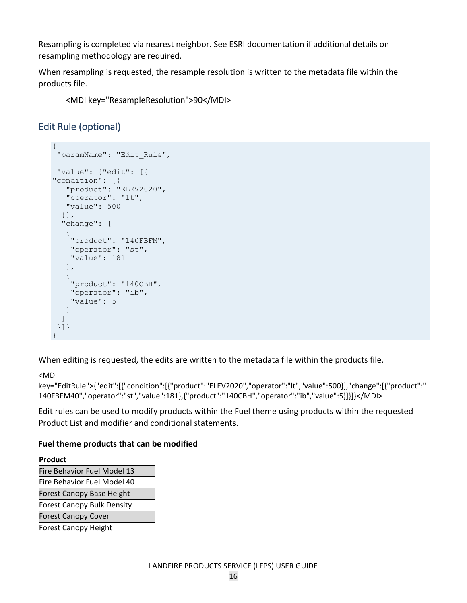Resampling is completed via nearest neighbor. See ESRI documentation if additional details on resampling methodology are required.

When resampling is requested, the resample resolution is written to the metadata file within the products file.

<MDI key="ResampleResolution">90</MDI>

#### <span id="page-7-0"></span>Edit Rule (optional)

```
{
 "paramName": "Edit_Rule",
"value": {"edit": [{
"condition": [{
 "product": "ELEV2020",
 "operator": "lt",
   "value": 500
  }],
   "change": [
    {
     "product": "140FBFM",
    "operator": "st",
    "value": 181
   },
    {
     "product": "140CBH",
    "operator": "ib",
     "value": 5
   }
  ]
}]}
}
```
When editing is requested, the edits are written to the metadata file within the products file.

<MDI

key="EditRule">{"edit":[{"condition":[{"product":"ELEV2020","operator":"lt","value":500}],"change":[{"product":" 140FBFM40","operator":"st","value":181},{"product":"140CBH","operator":"ib","value":5}]}]}</MDI>

Edit rules can be used to modify products within the Fuel theme using products within the requested Product List and modifier and conditional statements.

#### **Fuel theme products that can be modified**

| Product                          |
|----------------------------------|
| Fire Behavior Fuel Model 13      |
| Fire Behavior Fuel Model 40      |
| <b>Forest Canopy Base Height</b> |
| Forest Canopy Bulk Density       |
| <b>Forest Canopy Cover</b>       |
| Forest Canopy Height             |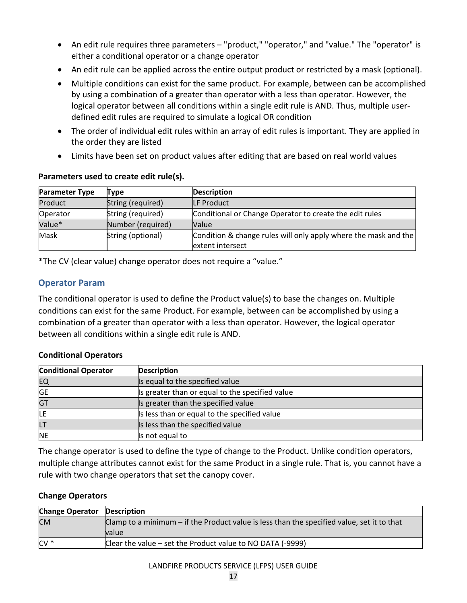- An edit rule requires three parameters "product," "operator," and "value." The "operator" is either a conditional operator or a change operator
- An edit rule can be applied across the entire output product or restricted by a mask (optional).
- Multiple conditions can exist for the same product. For example, between can be accomplished by using a combination of a greater than operator with a less than operator. However, the logical operator between all conditions within a single edit rule is AND. Thus, multiple userdefined edit rules are required to simulate a logical OR condition
- The order of individual edit rules within an array of edit rules is important. They are applied in the order they are listed
- Limits have been set on product values after editing that are based on real world values

| <b>Parameter Type</b> | Type              | <b>Description</b>                                              |  |
|-----------------------|-------------------|-----------------------------------------------------------------|--|
| Product               | String (required) | <b>LF Product</b>                                               |  |
| Operator              | String (required) | Conditional or Change Operator to create the edit rules         |  |
| Value*                | Number (required) | Value                                                           |  |
| Mask                  | String (optional) | Condition & change rules will only apply where the mask and the |  |
|                       |                   | extent intersect                                                |  |

#### **Parameters used to create edit rule(s).**

\*The CV (clear value) change operator does not require a "value."

#### **Operator Param**

The conditional operator is used to define the Product value(s) to base the changes on. Multiple conditions can exist for the same Product. For example, between can be accomplished by using a combination of a greater than operator with a less than operator. However, the logical operator between all conditions within a single edit rule is AND.

#### **Conditional Operators**

| <b>Conditional Operator</b> | <b>Description</b>                              |
|-----------------------------|-------------------------------------------------|
| EQ                          | Is equal to the specified value                 |
| <b>GE</b>                   | Is greater than or equal to the specified value |
| GT                          | Is greater than the specified value             |
|                             | Is less than or equal to the specified value    |
| LT                          | Is less than the specified value                |
| NE                          | Is not equal to                                 |

The change operator is used to define the type of change to the Product. Unlike condition operators, multiple change attributes cannot exist for the same Product in a single rule. That is, you cannot have a rule with two change operators that set the canopy cover.

#### **Change Operators**

| <b>Change Operator Description</b> |                                                                                              |  |
|------------------------------------|----------------------------------------------------------------------------------------------|--|
| <b>CM</b>                          | Clamp to a minimum $-$ if the Product value is less than the specified value, set it to that |  |
|                                    | <b>value</b>                                                                                 |  |
| $CV *$                             | Clear the value $-$ set the Product value to NO DATA (-9999)                                 |  |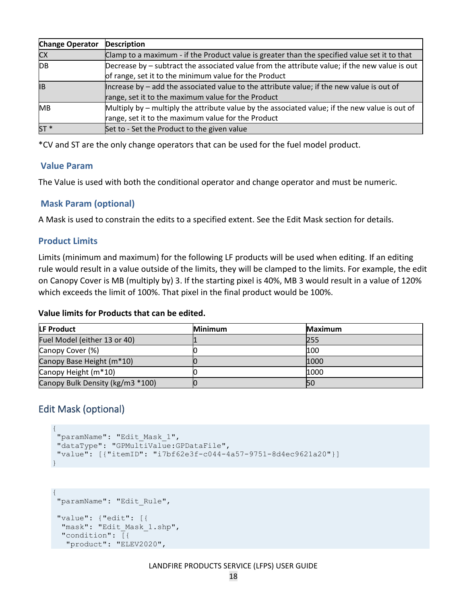| <b>Change Operator</b> | <b>Description</b>                                                                               |  |
|------------------------|--------------------------------------------------------------------------------------------------|--|
| <b>CX</b>              | Clamp to a maximum - if the Product value is greater than the specified value set it to that     |  |
| <b>DB</b>              | Decrease by – subtract the associated value from the attribute value; if the new value is out    |  |
|                        | of range, set it to the minimum value for the Product                                            |  |
| lΒ                     | Increase by $-$ add the associated value to the attribute value; if the new value is out of      |  |
|                        | range, set it to the maximum value for the Product                                               |  |
| <b>MB</b>              | Multiply by $-$ multiply the attribute value by the associated value; if the new value is out of |  |
|                        | range, set it to the maximum value for the Product                                               |  |
| $ST*$                  | Set to - Set the Product to the given value                                                      |  |

\*CV and ST are the only change operators that can be used for the fuel model product.

#### **Value Param**

The Value is used with both the conditional operator and change operator and must be numeric.

#### **Mask Param (optional)**

A Mask is used to constrain the edits to a specified extent. See the Edit Mask section for details.

#### **Product Limits**

Limits (minimum and maximum) for the following LF products will be used when editing. If an editing rule would result in a value outside of the limits, they will be clamped to the limits. For example, the edit on Canopy Cover is MB (multiply by) 3. If the starting pixel is 40%, MB 3 would result in a value of 120% which exceeds the limit of 100%. That pixel in the final product would be 100%.

#### **Value limits for Products that can be edited.**

| <b>LF Product</b>                | <b>Minimum</b> | <b>Maximum</b> |
|----------------------------------|----------------|----------------|
| Fuel Model (either 13 or 40)     |                | 255            |
| Canopy Cover (%)                 |                | 100            |
| Canopy Base Height (m*10)        |                | 1000           |
| Canopy Height (m*10)             |                | 1000           |
| Canopy Bulk Density (kg/m3 *100) |                | <b>50</b>      |

#### <span id="page-9-0"></span>Edit Mask (optional)

```
{
 "paramName": "Edit_Mask_1",
"dataType": "GPMultiValue:GPDataFile",
"value": [{"itemID": "i7bf62e3f-c044-4a57-9751-8d4ec9621a20"}]
}
```

```
{
 "paramName": "Edit_Rule",
"value": {"edit": [{
 "mask": "Edit Mask 1.shp",
  "condition": [{
   "product": "ELEV2020",
```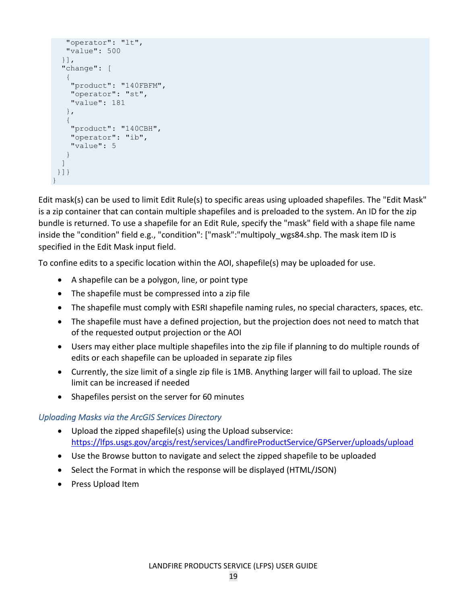```
 "operator": "lt",
     "value": 500
   }],
   "change": [
     {
      "product": "140FBFM",
     "operator": "st",
      "value": 181
    },
\left\{\begin{array}{c} \end{array}\right\} "product": "140CBH",
      "operator": "ib",
     "value": 5
    }
   ]
 }]}
}
```
Edit mask(s) can be used to limit Edit Rule(s) to specific areas using uploaded shapefiles. The "Edit Mask" is a zip container that can contain multiple shapefiles and is preloaded to the system. An ID for the zip bundle is returned. To use a shapefile for an Edit Rule, specify the "mask" field with a shape file name inside the "condition" field e.g., "condition": ["mask":"multipoly\_wgs84.shp. The mask item ID is specified in the Edit Mask input field.

To confine edits to a specific location within the AOI, shapefile(s) may be uploaded for use.

- A shapefile can be a polygon, line, or point type
- The shapefile must be compressed into a zip file
- The shapefile must comply with ESRI shapefile naming rules, no special characters, spaces, etc.
- The shapefile must have a defined projection, but the projection does not need to match that of the requested output projection or the AOI
- Users may either place multiple shapefiles into the zip file if planning to do multiple rounds of edits or each shapefile can be uploaded in separate zip files
- Currently, the size limit of a single zip file is 1MB. Anything larger will fail to upload. The size limit can be increased if needed
- Shapefiles persist on the server for 60 minutes

#### *Uploading Masks via the ArcGIS Services Directory*

- Upload the zipped shapefile(s) using the Upload subservice: <https://lfps.usgs.gov/arcgis/rest/services/LandfireProductService/GPServer/uploads/upload>
- Use the Browse button to navigate and select the zipped shapefile to be uploaded
- Select the Format in which the response will be displayed (HTML/JSON)
- Press Upload Item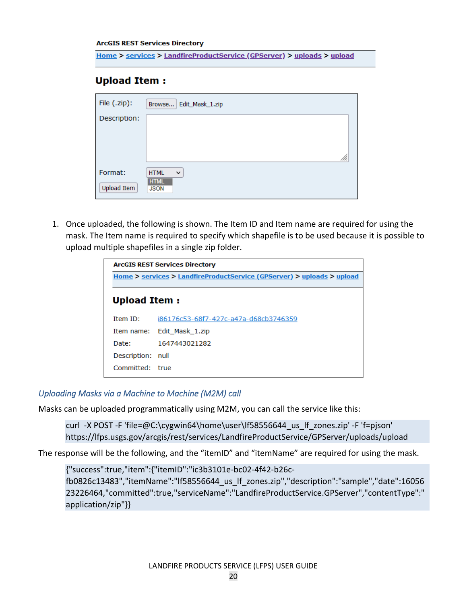#### **ArcGIS REST Services Directory**

Home > services > LandfireProductService (GPServer) > uploads > upload

#### **Upload Item:**

| File (.zip): | Edit_Mask_1.zip<br>Browse   |
|--------------|-----------------------------|
| Description: |                             |
|              |                             |
|              |                             |
|              |                             |
| Format:      | $\checkmark$<br><b>HTML</b> |
| Upload Item  | <b>HTML</b><br><b>JSON</b>  |

1. Once uploaded, the following is shown. The Item ID and Item name are required for using the mask. The Item name is required to specify which shapefile is to be used because it is possible to upload multiple shapefiles in a single zip folder.

| <b>ArcGIS REST Services Directory</b>                                  |                                       |  |  |
|------------------------------------------------------------------------|---------------------------------------|--|--|
| Home > services > LandfireProductService (GPServer) > uploads > upload |                                       |  |  |
| <b>Upload Item:</b>                                                    |                                       |  |  |
| <b>Item ID:</b>                                                        | i86176c53-68f7-427c-a47a-d68cb3746359 |  |  |
|                                                                        | Item name: Edit Mask 1.zip            |  |  |
| Date:                                                                  | 1647443021282                         |  |  |
| Description: null                                                      |                                       |  |  |
| Committed: true                                                        |                                       |  |  |
|                                                                        |                                       |  |  |

#### *Uploading Masks via a Machine to Machine (M2M) call*

Masks can be uploaded programmatically using M2M, you can call the service like this:

curl -X POST -F 'file=@C:\cygwin64\home\user\lf58556644\_us\_lf\_zones.zip' -F 'f=pjson' https://lfps.usgs.gov/arcgis/rest/services/LandfireProductService/GPServer/uploads/upload

The response will be the following, and the "itemID" and "itemName" are required for using the mask.

{"success":true,"item":{"itemID":"ic3b3101e-bc02-4f42-b26c-

fb0826c13483","itemName":"lf58556644\_us\_lf\_zones.zip","description":"sample","date":16056 23226464,"committed":true,"serviceName":"LandfireProductService.GPServer","contentType":" application/zip"}}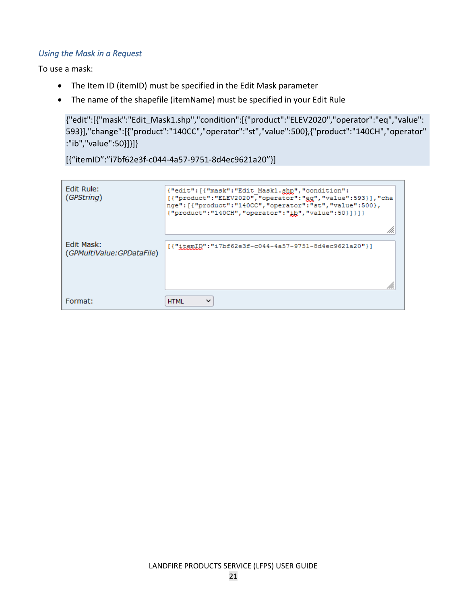#### *Using the Mask in a Request*

To use a mask:

- The Item ID (itemID) must be specified in the Edit Mask parameter
- The name of the shapefile (itemName) must be specified in your Edit Rule

{"edit":[{"mask":"Edit\_Mask1.shp","condition":[{"product":"ELEV2020","operator":"eq","value": 593}],"change":[{"product":"140CC","operator":"st","value":500},{"product":"140CH","operator" :"ib","value":50}]}]}

[{"itemID":"i7bf62e3f-c044-4a57-9751-8d4ec9621a20"}]

| Edit Rule:<br>(GPString)  | {"edit": [{"mask": "Edit Mask1.ghp", "condition":<br>[{"product":"ELEV2020","operator":"eg","value":593} ],"cha<br>nge": [{"product":"140CC", "operator":"st", "value":500},<br>{"product":"140CH","operator":"ib","value":50}]}]} |
|---------------------------|------------------------------------------------------------------------------------------------------------------------------------------------------------------------------------------------------------------------------------|
| Edit Mask:                |                                                                                                                                                                                                                                    |
| (GPMultiValue:GPDataFile) | [{"itemID":"i7bf62e3f-c044-4a57-9751-8d4ec9621a20"}]                                                                                                                                                                               |
|                           |                                                                                                                                                                                                                                    |
| Format:                   | <b>HTML</b><br>$\checkmark$                                                                                                                                                                                                        |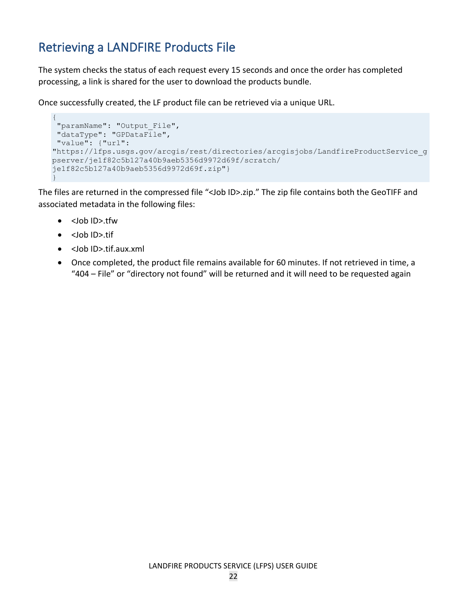## <span id="page-13-0"></span>Retrieving a LANDFIRE Products File

The system checks the status of each request every 15 seconds and once the order has completed processing, a link is shared for the user to download the products bundle.

Once successfully created, the LF product file can be retrieved via a unique URL.

```
{
 "paramName": "Output_File",
 "dataType": "GPDataFile",
"value": {"url": 
"https://lfps.usgs.gov/arcgis/rest/directories/arcgisjobs/LandfireProductService_g
pserver/je1f82c5b127a40b9aeb5356d9972d69f/scratch/
je1f82c5b127a40b9aeb5356d9972d69f.zip"}
}
```
The files are returned in the compressed file "<Job ID>.zip." The zip file contains both the GeoTIFF and associated metadata in the following files:

- <Job ID>.tfw
- <Job ID>.tif
- <Job ID>.tif.aux.xml
- Once completed, the product file remains available for 60 minutes. If not retrieved in time, a "404 – File" or "directory not found" will be returned and it will need to be requested again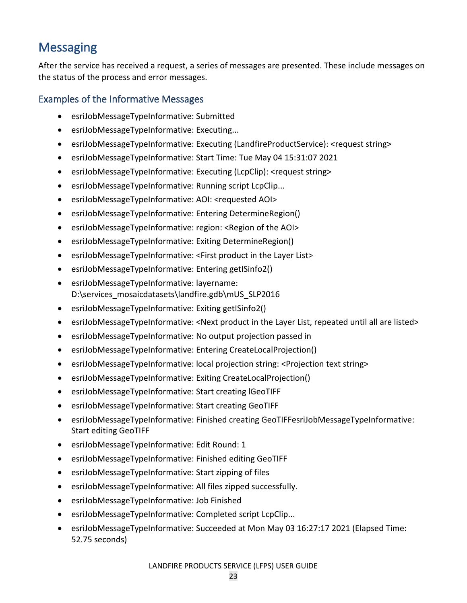## <span id="page-14-0"></span>**Messaging**

After the service has received a request, a series of messages are presented. These include messages on the status of the process and error messages.

#### <span id="page-14-1"></span>Examples of the Informative Messages

- esriJobMessageTypeInformative: Submitted
- esriJobMessageTypeInformative: Executing...
- esriJobMessageTypeInformative: Executing (LandfireProductService): <request string>
- esriJobMessageTypeInformative: Start Time: Tue May 04 15:31:07 2021
- esriJobMessageTypeInformative: Executing (LcpClip): <request string>
- esriJobMessageTypeInformative: Running script LcpClip...
- esriJobMessageTypeInformative: AOI: <requested AOI>
- esriJobMessageTypeInformative: Entering DetermineRegion()
- esriJobMessageTypeInformative: region: <Region of the AOI>
- esriJobMessageTypeInformative: Exiting DetermineRegion()
- esriJobMessageTypeInformative: <First product in the Layer List>
- esriJobMessageTypeInformative: Entering getISinfo2()
- esriJobMessageTypeInformative: layername: D:\services\_mosaicdatasets\landfire.gdb\mUS\_SLP2016
- esriJobMessageTypeInformative: Exiting getISinfo2()
- esriJobMessageTypeInformative: <Next product in the Layer List, repeated until all are listed>
- esriJobMessageTypeInformative: No output projection passed in
- esriJobMessageTypeInformative: Entering CreateLocalProjection()
- esriJobMessageTypeInformative: local projection string: <Projection text string>
- esriJobMessageTypeInformative: Exiting CreateLocalProjection()
- esriJobMessageTypeInformative: Start creating lGeoTIFF
- esriJobMessageTypeInformative: Start creating GeoTIFF
- esriJobMessageTypeInformative: Finished creating GeoTIFFesriJobMessageTypeInformative: Start editing GeoTIFF
- esriJobMessageTypeInformative: Edit Round: 1
- esriJobMessageTypeInformative: Finished editing GeoTIFF
- esriJobMessageTypeInformative: Start zipping of files
- esriJobMessageTypeInformative: All files zipped successfully.
- esriJobMessageTypeInformative: Job Finished
- esriJobMessageTypeInformative: Completed script LcpClip...
- esriJobMessageTypeInformative: Succeeded at Mon May 03 16:27:17 2021 (Elapsed Time: 52.75 seconds)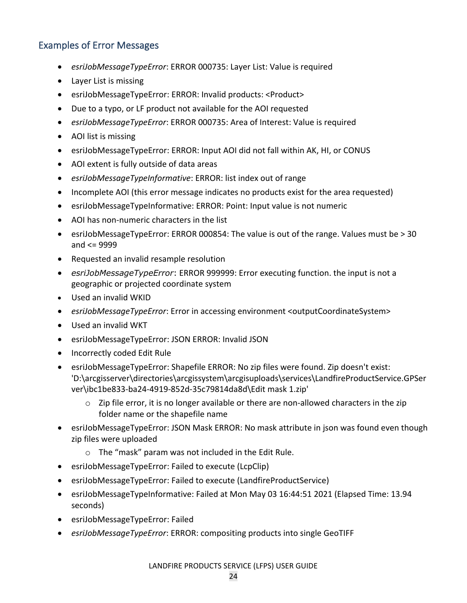#### <span id="page-15-0"></span>Examples of Error Messages

- *esriJobMessageTypeError*: ERROR 000735: Layer List: Value is required
- Layer List is missing
- esriJobMessageTypeError: ERROR: Invalid products: <Product>
- Due to a typo, or LF product not available for the AOI requested
- *esriJobMessageTypeError*: ERROR 000735: Area of Interest: Value is required
- AOI list is missing
- esriJobMessageTypeError: ERROR: Input AOI did not fall within AK, HI, or CONUS
- AOI extent is fully outside of data areas
- *esriJobMessageTypeInformative*: ERROR: list index out of range
- Incomplete AOI (this error message indicates no products exist for the area requested)
- esriJobMessageTypeInformative: ERROR: Point: Input value is not numeric
- AOI has non-numeric characters in the list
- esriJobMessageTypeError: ERROR 000854: The value is out of the range. Values must be > 30 and <= 9999
- Requested an invalid resample resolution
- *esriJobMessageTypeError*: ERROR 999999: Error executing function. the input is not a geographic or projected coordinate system
- Used an invalid WKID
- *esriJobMessageTypeError*: Error in accessing environment <outputCoordinateSystem>
- Used an invalid WKT
- esriJobMessageTypeError: JSON ERROR: Invalid JSON
- Incorrectly coded Edit Rule
- esriJobMessageTypeError: Shapefile ERROR: No zip files were found. Zip doesn't exist: 'D:\arcgisserver\directories\arcgissystem\arcgisuploads\services\LandfireProductService.GPSer ver\ibc1be833-ba24-4919-852d-35c79814da8d\Edit mask 1.zip'
	- $\circ$  Zip file error, it is no longer available or there are non-allowed characters in the zip folder name or the shapefile name
- esriJobMessageTypeError: JSON Mask ERROR: No mask attribute in json was found even though zip files were uploaded
	- o The "mask" param was not included in the Edit Rule.
- esriJobMessageTypeError: Failed to execute (LcpClip)
- esriJobMessageTypeError: Failed to execute (LandfireProductService)
- esriJobMessageTypeInformative: Failed at Mon May 03 16:44:51 2021 (Elapsed Time: 13.94 seconds)
- esriJobMessageTypeError: Failed
- *esriJobMessageTypeError*: ERROR: compositing products into single GeoTIFF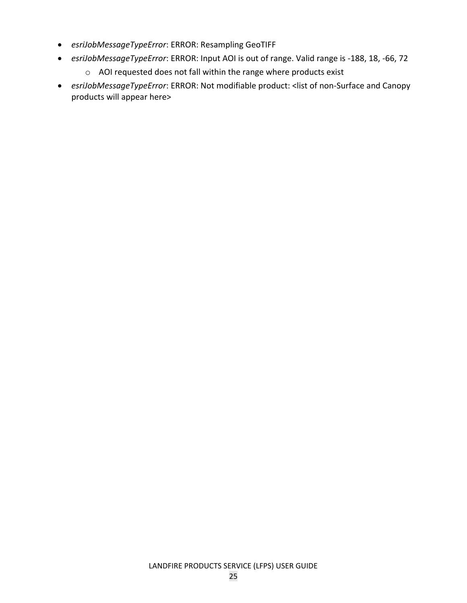- *esriJobMessageTypeError*: ERROR: Resampling GeoTIFF
- *esriJobMessageTypeError*: ERROR: Input AOI is out of range. Valid range is -188, 18, -66, 72
	- o AOI requested does not fall within the range where products exist
- *esriJobMessageTypeError*: ERROR: Not modifiable product: <list of non-Surface and Canopy products will appear here>